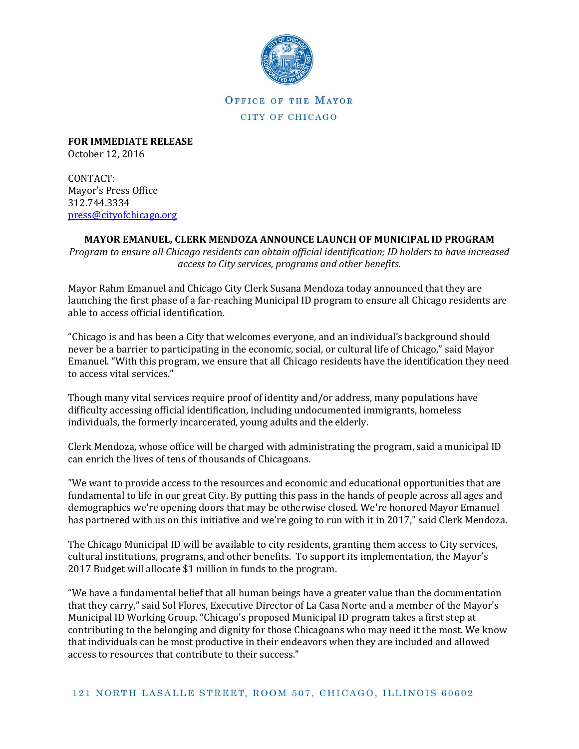

**OFFICE OF THE MAYOR** CITY OF CHICAGO

**FOR IMMEDIATE RELEASE** October 12, 2016

CONTACT: Mayor's Press Office 312.744.3334 [press@cityofchicago.org](mailto:press@cityofchicago.org)

## **MAYOR EMANUEL, CLERK MENDOZA ANNOUNCE LAUNCH OF MUNICIPAL ID PROGRAM**

*Program to ensure all Chicago residents can obtain official identification; ID holders to have increased access to City services, programs and other benefits.*

Mayor Rahm Emanuel and Chicago City Clerk Susana Mendoza today announced that they are launching the first phase of a far-reaching Municipal ID program to ensure all Chicago residents are able to access official identification.

"Chicago is and has been a City that welcomes everyone, and an individual's background should never be a barrier to participating in the economic, social, or cultural life of Chicago," said Mayor Emanuel. "With this program, we ensure that all Chicago residents have the identification they need to access vital services."

Though many vital services require proof of identity and/or address, many populations have difficulty accessing official identification, including undocumented immigrants, homeless individuals, the formerly incarcerated, young adults and the elderly.

Clerk Mendoza, whose office will be charged with administrating the program, said a municipal ID can enrich the lives of tens of thousands of Chicagoans.

"We want to provide access to the resources and economic and educational opportunities that are fundamental to life in our great City. By putting this pass in the hands of people across all ages and demographics we're opening doors that may be otherwise closed. We're honored Mayor Emanuel has partnered with us on this initiative and we're going to run with it in 2017," said Clerk Mendoza.

The Chicago Municipal ID will be available to city residents, granting them access to City services, cultural institutions, programs, and other benefits. To support its implementation, the Mayor's 2017 Budget will allocate \$1 million in funds to the program.

"We have a fundamental belief that all human beings have a greater value than the documentation that they carry," said Sol Flores, Executive Director of La Casa Norte and a member of the Mayor's Municipal ID Working Group. "Chicago's proposed Municipal ID program takes a first step at contributing to the belonging and dignity for those Chicagoans who may need it the most. We know that individuals can be most productive in their endeavors when they are included and allowed access to resources that contribute to their success."